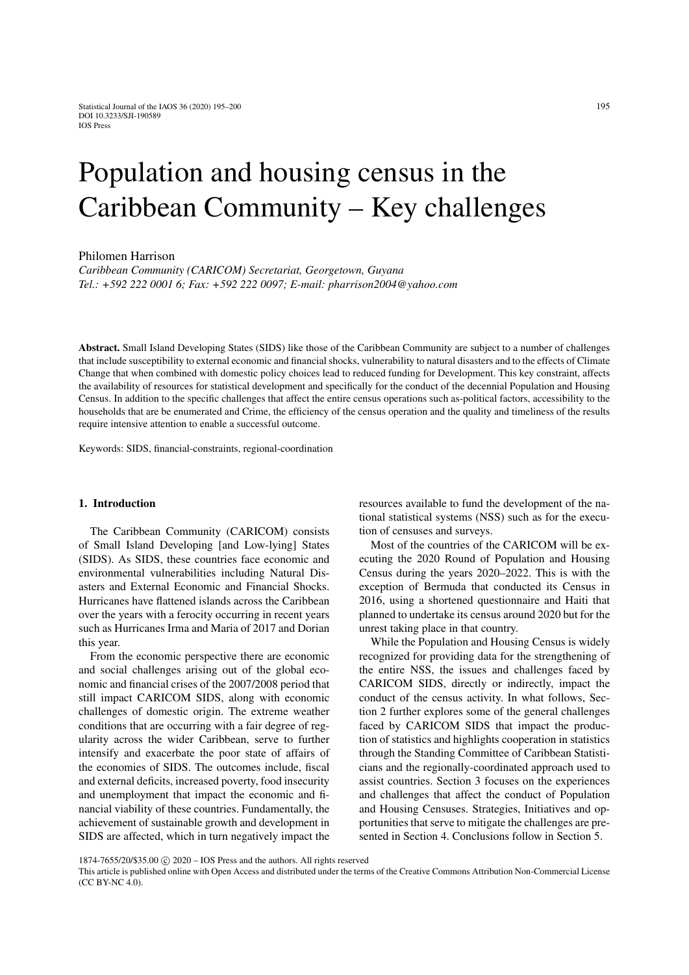# Population and housing census in the Caribbean Community – Key challenges

Philomen Harrison

*Caribbean Community (CARICOM) Secretariat, Georgetown, Guyana Tel.: +592 222 0001 6; Fax: +592 222 0097; E-mail: pharrison2004@yahoo.com*

Abstract. Small Island Developing States (SIDS) like those of the Caribbean Community are subject to a number of challenges that include susceptibility to external economic and financial shocks, vulnerability to natural disasters and to the effects of Climate Change that when combined with domestic policy choices lead to reduced funding for Development. This key constraint, affects the availability of resources for statistical development and specifically for the conduct of the decennial Population and Housing Census. In addition to the specific challenges that affect the entire census operations such as-political factors, accessibility to the households that are be enumerated and Crime, the efficiency of the census operation and the quality and timeliness of the results require intensive attention to enable a successful outcome.

Keywords: SIDS, financial-constraints, regional-coordination

#### 1. Introduction

The Caribbean Community (CARICOM) consists of Small Island Developing [and Low-lying] States (SIDS). As SIDS, these countries face economic and environmental vulnerabilities including Natural Disasters and External Economic and Financial Shocks. Hurricanes have flattened islands across the Caribbean over the years with a ferocity occurring in recent years such as Hurricanes Irma and Maria of 2017 and Dorian this year.

From the economic perspective there are economic and social challenges arising out of the global economic and financial crises of the 2007/2008 period that still impact CARICOM SIDS, along with economic challenges of domestic origin. The extreme weather conditions that are occurring with a fair degree of regularity across the wider Caribbean, serve to further intensify and exacerbate the poor state of affairs of the economies of SIDS. The outcomes include, fiscal and external deficits, increased poverty, food insecurity and unemployment that impact the economic and financial viability of these countries. Fundamentally, the achievement of sustainable growth and development in SIDS are affected, which in turn negatively impact the resources available to fund the development of the national statistical systems (NSS) such as for the execution of censuses and surveys.

Most of the countries of the CARICOM will be executing the 2020 Round of Population and Housing Census during the years 2020–2022. This is with the exception of Bermuda that conducted its Census in 2016, using a shortened questionnaire and Haiti that planned to undertake its census around 2020 but for the unrest taking place in that country.

While the Population and Housing Census is widely recognized for providing data for the strengthening of the entire NSS, the issues and challenges faced by CARICOM SIDS, directly or indirectly, impact the conduct of the census activity. In what follows, Section 2 further explores some of the general challenges faced by CARICOM SIDS that impact the production of statistics and highlights cooperation in statistics through the Standing Committee of Caribbean Statisticians and the regionally-coordinated approach used to assist countries. Section 3 focuses on the experiences and challenges that affect the conduct of Population and Housing Censuses. Strategies, Initiatives and opportunities that serve to mitigate the challenges are presented in Section 4. Conclusions follow in Section 5.

This article is published online with Open Access and distributed under the terms of the Creative Commons Attribution Non-Commercial License (CC BY-NC 4.0).

<sup>1874-7655/20/\$35.00</sup> c 2020 – IOS Press and the authors. All rights reserved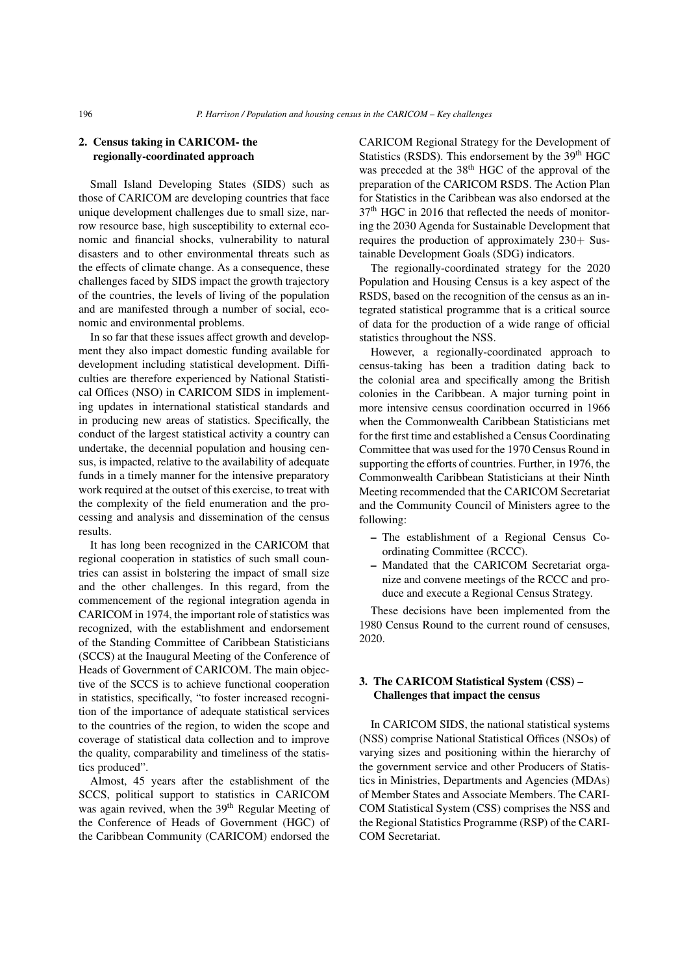# 2. Census taking in CARICOM- the regionally-coordinated approach

Small Island Developing States (SIDS) such as those of CARICOM are developing countries that face unique development challenges due to small size, narrow resource base, high susceptibility to external economic and financial shocks, vulnerability to natural disasters and to other environmental threats such as the effects of climate change. As a consequence, these challenges faced by SIDS impact the growth trajectory of the countries, the levels of living of the population and are manifested through a number of social, economic and environmental problems.

In so far that these issues affect growth and development they also impact domestic funding available for development including statistical development. Difficulties are therefore experienced by National Statistical Offices (NSO) in CARICOM SIDS in implementing updates in international statistical standards and in producing new areas of statistics. Specifically, the conduct of the largest statistical activity a country can undertake, the decennial population and housing census, is impacted, relative to the availability of adequate funds in a timely manner for the intensive preparatory work required at the outset of this exercise, to treat with the complexity of the field enumeration and the processing and analysis and dissemination of the census results.

It has long been recognized in the CARICOM that regional cooperation in statistics of such small countries can assist in bolstering the impact of small size and the other challenges. In this regard, from the commencement of the regional integration agenda in CARICOM in 1974, the important role of statistics was recognized, with the establishment and endorsement of the Standing Committee of Caribbean Statisticians (SCCS) at the Inaugural Meeting of the Conference of Heads of Government of CARICOM. The main objective of the SCCS is to achieve functional cooperation in statistics, specifically, "to foster increased recognition of the importance of adequate statistical services to the countries of the region, to widen the scope and coverage of statistical data collection and to improve the quality, comparability and timeliness of the statistics produced".

Almost, 45 years after the establishment of the SCCS, political support to statistics in CARICOM was again revived, when the 39<sup>th</sup> Regular Meeting of the Conference of Heads of Government (HGC) of the Caribbean Community (CARICOM) endorsed the CARICOM Regional Strategy for the Development of Statistics (RSDS). This endorsement by the 39<sup>th</sup> HGC was preceded at the 38<sup>th</sup> HGC of the approval of the preparation of the CARICOM RSDS. The Action Plan for Statistics in the Caribbean was also endorsed at the 37th HGC in 2016 that reflected the needs of monitoring the 2030 Agenda for Sustainable Development that requires the production of approximately 230+ Sustainable Development Goals (SDG) indicators.

The regionally-coordinated strategy for the 2020 Population and Housing Census is a key aspect of the RSDS, based on the recognition of the census as an integrated statistical programme that is a critical source of data for the production of a wide range of official statistics throughout the NSS.

However, a regionally-coordinated approach to census-taking has been a tradition dating back to the colonial area and specifically among the British colonies in the Caribbean. A major turning point in more intensive census coordination occurred in 1966 when the Commonwealth Caribbean Statisticians met for the first time and established a Census Coordinating Committee that was used for the 1970 Census Round in supporting the efforts of countries. Further, in 1976, the Commonwealth Caribbean Statisticians at their Ninth Meeting recommended that the CARICOM Secretariat and the Community Council of Ministers agree to the following:

- The establishment of a Regional Census Coordinating Committee (RCCC).
- Mandated that the CARICOM Secretariat organize and convene meetings of the RCCC and produce and execute a Regional Census Strategy.

These decisions have been implemented from the 1980 Census Round to the current round of censuses, 2020.

## 3. The CARICOM Statistical System (CSS) – Challenges that impact the census

In CARICOM SIDS, the national statistical systems (NSS) comprise National Statistical Offices (NSOs) of varying sizes and positioning within the hierarchy of the government service and other Producers of Statistics in Ministries, Departments and Agencies (MDAs) of Member States and Associate Members. The CARI-COM Statistical System (CSS) comprises the NSS and the Regional Statistics Programme (RSP) of the CARI-COM Secretariat.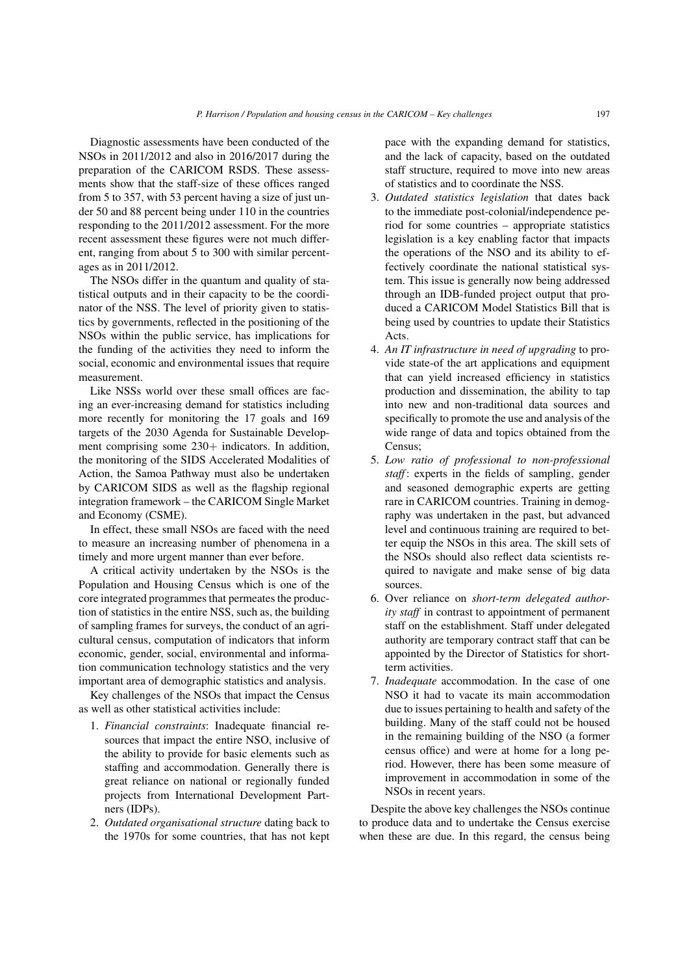Diagnostic assessments have been conducted of the NSOs in 2011/2012 and also in 2016/2017 during the preparation of the CARICOM RSDS. These assessments show that the staff-size of these offices ranged from 5 to 357, with 53 percent having a size of just under 50 and 88 percent being under 110 in the countries responding to the 2011/2012 assessment. For the more recent assessment these figures were not much different, ranging from about 5 to 300 with similar percentages as in 2011/2012.

The NSOs differ in the quantum and quality of statistical outputs and in their capacity to be the coordinator of the NSS. The level of priority given to statistics by governments, reflected in the positioning of the NSOs within the public service, has implications for the funding of the activities they need to inform the social, economic and environmental issues that require measurement.

Like NSSs world over these small offices are facing an ever-increasing demand for statistics including more recently for monitoring the 17 goals and 169 targets of the 2030 Agenda for Sustainable Development comprising some 230+ indicators. In addition, the monitoring of the SIDS Accelerated Modalities of Action, the Samoa Pathway must also be undertaken by CARICOM SIDS as well as the flagship regional integration framework – the CARICOM Single Market and Economy (CSME).

In effect, these small NSOs are faced with the need to measure an increasing number of phenomena in a timely and more urgent manner than ever before.

A critical activity undertaken by the NSOs is the Population and Housing Census which is one of the core integrated programmes that permeates the production of statistics in the entire NSS, such as, the building of sampling frames for surveys, the conduct of an agricultural census, computation of indicators that inform economic, gender, social, environmental and information communication technology statistics and the very important area of demographic statistics and analysis.

Key challenges of the NSOs that impact the Census as well as other statistical activities include:

- 1. *Financial constraints*: Inadequate financial resources that impact the entire NSO, inclusive of the ability to provide for basic elements such as staffing and accommodation. Generally there is great reliance on national or regionally funded projects from International Development Partners (IDPs).
- 2. *Outdated organisational structure* dating back to the 1970s for some countries, that has not kept

pace with the expanding demand for statistics, and the lack of capacity, based on the outdated staff structure, required to move into new areas of statistics and to coordinate the NSS.

- 3. *Outdated statistics legislation* that dates back to the immediate post-colonial/independence period for some countries – appropriate statistics legislation is a key enabling factor that impacts the operations of the NSO and its ability to effectively coordinate the national statistical system. This issue is generally now being addressed through an IDB-funded project output that produced a CARICOM Model Statistics Bill that is being used by countries to update their Statistics Acts.
- 4. *An IT infrastructure in need of upgrading* to provide state-of the art applications and equipment that can yield increased efficiency in statistics production and dissemination, the ability to tap into new and non-traditional data sources and specifically to promote the use and analysis of the wide range of data and topics obtained from the Census;
- 5. *Low ratio of professional to non-professional staff* : experts in the fields of sampling, gender and seasoned demographic experts are getting rare in CARICOM countries. Training in demography was undertaken in the past, but advanced level and continuous training are required to better equip the NSOs in this area. The skill sets of the NSOs should also reflect data scientists required to navigate and make sense of big data sources.
- 6. Over reliance on *short-term delegated authority staff* in contrast to appointment of permanent staff on the establishment. Staff under delegated authority are temporary contract staff that can be appointed by the Director of Statistics for shortterm activities.
- 7. *Inadequate* accommodation. In the case of one NSO it had to vacate its main accommodation due to issues pertaining to health and safety of the building. Many of the staff could not be housed in the remaining building of the NSO (a former census office) and were at home for a long period. However, there has been some measure of improvement in accommodation in some of the NSOs in recent years.

Despite the above key challenges the NSOs continue to produce data and to undertake the Census exercise when these are due. In this regard, the census being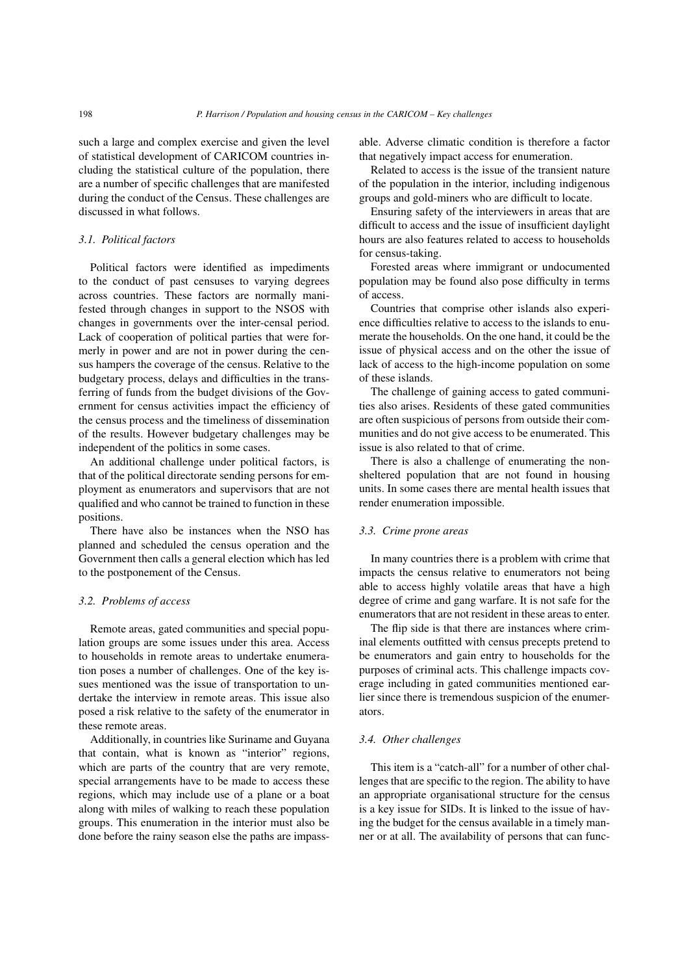such a large and complex exercise and given the level of statistical development of CARICOM countries including the statistical culture of the population, there are a number of specific challenges that are manifested during the conduct of the Census. These challenges are discussed in what follows.

## *3.1. Political factors*

Political factors were identified as impediments to the conduct of past censuses to varying degrees across countries. These factors are normally manifested through changes in support to the NSOS with changes in governments over the inter-censal period. Lack of cooperation of political parties that were formerly in power and are not in power during the census hampers the coverage of the census. Relative to the budgetary process, delays and difficulties in the transferring of funds from the budget divisions of the Government for census activities impact the efficiency of the census process and the timeliness of dissemination of the results. However budgetary challenges may be independent of the politics in some cases.

An additional challenge under political factors, is that of the political directorate sending persons for employment as enumerators and supervisors that are not qualified and who cannot be trained to function in these positions.

There have also be instances when the NSO has planned and scheduled the census operation and the Government then calls a general election which has led to the postponement of the Census.

### *3.2. Problems of access*

Remote areas, gated communities and special population groups are some issues under this area. Access to households in remote areas to undertake enumeration poses a number of challenges. One of the key issues mentioned was the issue of transportation to undertake the interview in remote areas. This issue also posed a risk relative to the safety of the enumerator in these remote areas.

Additionally, in countries like Suriname and Guyana that contain, what is known as "interior" regions, which are parts of the country that are very remote, special arrangements have to be made to access these regions, which may include use of a plane or a boat along with miles of walking to reach these population groups. This enumeration in the interior must also be done before the rainy season else the paths are impassable. Adverse climatic condition is therefore a factor that negatively impact access for enumeration.

Related to access is the issue of the transient nature of the population in the interior, including indigenous groups and gold-miners who are difficult to locate.

Ensuring safety of the interviewers in areas that are difficult to access and the issue of insufficient daylight hours are also features related to access to households for census-taking.

Forested areas where immigrant or undocumented population may be found also pose difficulty in terms of access.

Countries that comprise other islands also experience difficulties relative to access to the islands to enumerate the households. On the one hand, it could be the issue of physical access and on the other the issue of lack of access to the high-income population on some of these islands.

The challenge of gaining access to gated communities also arises. Residents of these gated communities are often suspicious of persons from outside their communities and do not give access to be enumerated. This issue is also related to that of crime.

There is also a challenge of enumerating the nonsheltered population that are not found in housing units. In some cases there are mental health issues that render enumeration impossible.

## *3.3. Crime prone areas*

In many countries there is a problem with crime that impacts the census relative to enumerators not being able to access highly volatile areas that have a high degree of crime and gang warfare. It is not safe for the enumerators that are not resident in these areas to enter.

The flip side is that there are instances where criminal elements outfitted with census precepts pretend to be enumerators and gain entry to households for the purposes of criminal acts. This challenge impacts coverage including in gated communities mentioned earlier since there is tremendous suspicion of the enumerators.

### *3.4. Other challenges*

This item is a "catch-all" for a number of other challenges that are specific to the region. The ability to have an appropriate organisational structure for the census is a key issue for SIDs. It is linked to the issue of having the budget for the census available in a timely manner or at all. The availability of persons that can func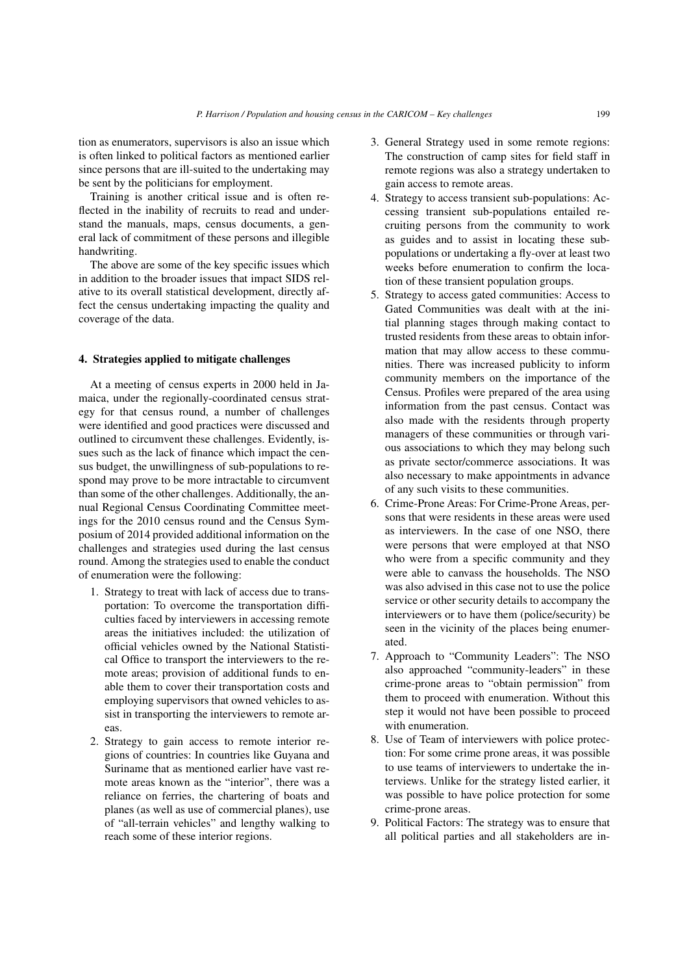tion as enumerators, supervisors is also an issue which is often linked to political factors as mentioned earlier since persons that are ill-suited to the undertaking may be sent by the politicians for employment.

Training is another critical issue and is often reflected in the inability of recruits to read and understand the manuals, maps, census documents, a general lack of commitment of these persons and illegible handwriting.

The above are some of the key specific issues which in addition to the broader issues that impact SIDS relative to its overall statistical development, directly affect the census undertaking impacting the quality and coverage of the data.

#### 4. Strategies applied to mitigate challenges

At a meeting of census experts in 2000 held in Jamaica, under the regionally-coordinated census strategy for that census round, a number of challenges were identified and good practices were discussed and outlined to circumvent these challenges. Evidently, issues such as the lack of finance which impact the census budget, the unwillingness of sub-populations to respond may prove to be more intractable to circumvent than some of the other challenges. Additionally, the annual Regional Census Coordinating Committee meetings for the 2010 census round and the Census Symposium of 2014 provided additional information on the challenges and strategies used during the last census round. Among the strategies used to enable the conduct of enumeration were the following:

- 1. Strategy to treat with lack of access due to transportation: To overcome the transportation difficulties faced by interviewers in accessing remote areas the initiatives included: the utilization of official vehicles owned by the National Statistical Office to transport the interviewers to the remote areas; provision of additional funds to enable them to cover their transportation costs and employing supervisors that owned vehicles to assist in transporting the interviewers to remote areas.
- 2. Strategy to gain access to remote interior regions of countries: In countries like Guyana and Suriname that as mentioned earlier have vast remote areas known as the "interior", there was a reliance on ferries, the chartering of boats and planes (as well as use of commercial planes), use of "all-terrain vehicles" and lengthy walking to reach some of these interior regions.
- 3. General Strategy used in some remote regions: The construction of camp sites for field staff in remote regions was also a strategy undertaken to gain access to remote areas.
- 4. Strategy to access transient sub-populations: Accessing transient sub-populations entailed recruiting persons from the community to work as guides and to assist in locating these subpopulations or undertaking a fly-over at least two weeks before enumeration to confirm the location of these transient population groups.
- 5. Strategy to access gated communities: Access to Gated Communities was dealt with at the initial planning stages through making contact to trusted residents from these areas to obtain information that may allow access to these communities. There was increased publicity to inform community members on the importance of the Census. Profiles were prepared of the area using information from the past census. Contact was also made with the residents through property managers of these communities or through various associations to which they may belong such as private sector/commerce associations. It was also necessary to make appointments in advance of any such visits to these communities.
- 6. Crime-Prone Areas: For Crime-Prone Areas, persons that were residents in these areas were used as interviewers. In the case of one NSO, there were persons that were employed at that NSO who were from a specific community and they were able to canvass the households. The NSO was also advised in this case not to use the police service or other security details to accompany the interviewers or to have them (police/security) be seen in the vicinity of the places being enumerated.
- 7. Approach to "Community Leaders": The NSO also approached "community-leaders" in these crime-prone areas to "obtain permission" from them to proceed with enumeration. Without this step it would not have been possible to proceed with enumeration.
- 8. Use of Team of interviewers with police protection: For some crime prone areas, it was possible to use teams of interviewers to undertake the interviews. Unlike for the strategy listed earlier, it was possible to have police protection for some crime-prone areas.
- 9. Political Factors: The strategy was to ensure that all political parties and all stakeholders are in-